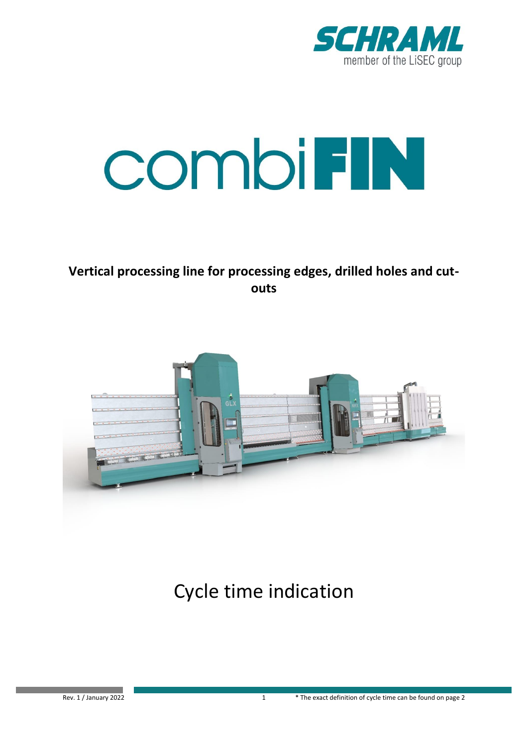

# **COMDIFIN**

**Vertical processing line for processing edges, drilled holes and cutouts**



Cycle time indication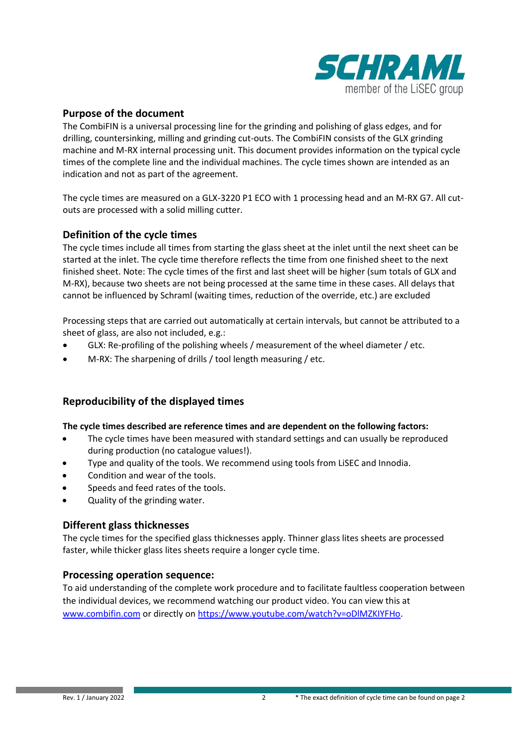

### **Purpose of the document**

The CombiFIN is a universal processing line for the grinding and polishing of glass edges, and for drilling, countersinking, milling and grinding cut-outs. The CombiFIN consists of the GLX grinding machine and M-RX internal processing unit. This document provides information on the typical cycle times of the complete line and the individual machines. The cycle times shown are intended as an indication and not as part of the agreement.

The cycle times are measured on a GLX-3220 P1 ECO with 1 processing head and an M-RX G7. All cutouts are processed with a solid milling cutter.

#### **Definition of the cycle times**

The cycle times include all times from starting the glass sheet at the inlet until the next sheet can be started at the inlet. The cycle time therefore reflects the time from one finished sheet to the next finished sheet. Note: The cycle times of the first and last sheet will be higher (sum totals of GLX and M-RX), because two sheets are not being processed at the same time in these cases. All delays that cannot be influenced by Schraml (waiting times, reduction of the override, etc.) are excluded

Processing steps that are carried out automatically at certain intervals, but cannot be attributed to a sheet of glass, are also not included, e.g.:

- GLX: Re-profiling of the polishing wheels / measurement of the wheel diameter / etc.
- M-RX: The sharpening of drills / tool length measuring / etc.

### **Reproducibility of the displayed times**

#### **The cycle times described are reference times and are dependent on the following factors:**

- The cycle times have been measured with standard settings and can usually be reproduced during production (no catalogue values!).
- Type and quality of the tools. We recommend using tools from LiSEC and Innodia.
- Condition and wear of the tools.
- Speeds and feed rates of the tools.
- Quality of the grinding water.

### **Different glass thicknesses**

The cycle times for the specified glass thicknesses apply. Thinner glass lites sheets are processed faster, while thicker glass lites sheets require a longer cycle time.

#### **Processing operation sequence:**

To aid understanding of the complete work procedure and to facilitate faultless cooperation between the individual devices, we recommend watching our product video. You can view this at [www.combifin.com](https://eur02.safelinks.protection.outlook.com/?url=http://www.combifin.com/&data=04|01|Elias.Leichtfried@lisec.com|e5c1d0000e824db10ce708d9b028c3ed|2c3fb8cad47f42c2b9556186e8077dcf|0|0|637734511394918013|Unknown|TWFpbGZsb3d8eyJWIjoiMC4wLjAwMDAiLCJQIjoiV2luMzIiLCJBTiI6Ik1haWwiLCJXVCI6Mn0=|3000&sdata=cnLlITexSBU99OhD8aMqqNxtzuWwtBBSrrfDJd19XfQ=&reserved=0) or directly on [https://www.youtube.com/watch?v=oDlMZKIYFHo.](https://www.youtube.com/watch?v=oDlMZKIYFHo)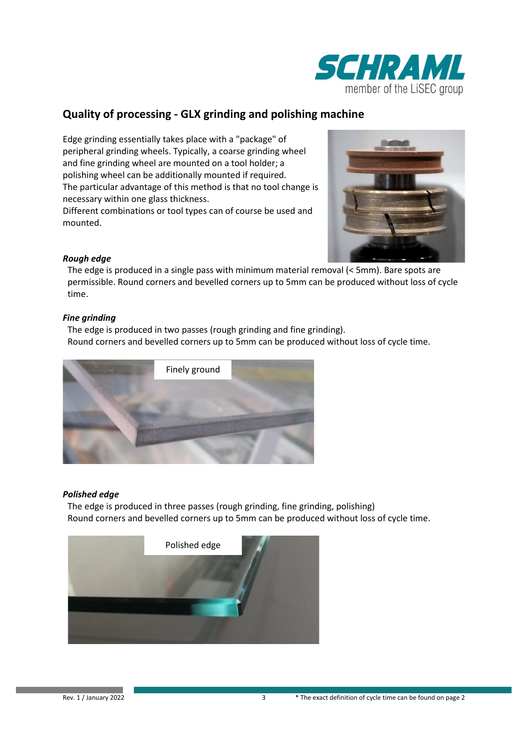

## **Quality of processing - GLX grinding and polishing machine**

Edge grinding essentially takes place with a "package" of peripheral grinding wheels. Typically, a coarse grinding wheel and fine grinding wheel are mounted on a tool holder; a polishing wheel can be additionally mounted if required. The particular advantage of this method is that no tool change is necessary within one glass thickness.

Different combinations or tool types can of course be used and mounted.



#### *Rough edge*

The edge is produced in a single pass with minimum material removal (< 5mm). Bare spots are permissible. Round corners and bevelled corners up to 5mm can be produced without loss of cycle time.

#### *Fine grinding*

The edge is produced in two passes (rough grinding and fine grinding). Round corners and bevelled corners up to 5mm can be produced without loss of cycle time.



### *Polished edge*

The edge is produced in three passes (rough grinding, fine grinding, polishing) Round corners and bevelled corners up to 5mm can be produced without loss of cycle time.

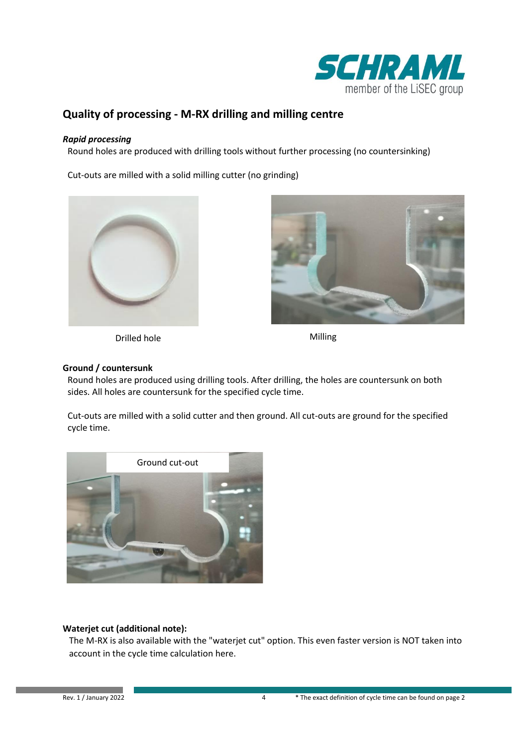

## **Quality of processing - M-RX drilling and milling centre**

#### *Rapid processing*

Round holes are produced with drilling tools without further processing (no countersinking)

Cut-outs are milled with a solid milling cutter (no grinding)



Drilled hole Milling



#### **Ground / countersunk**

Round holes are produced using drilling tools. After drilling, the holes are countersunk on both sides. All holes are countersunk for the specified cycle time.

Cut-outs are milled with a solid cutter and then ground. All cut-outs are ground for the specified cycle time.



### **Waterjet cut (additional note):**

The M-RX is also available with the "waterjet cut" option. This even faster version is NOT taken into account in the cycle time calculation here.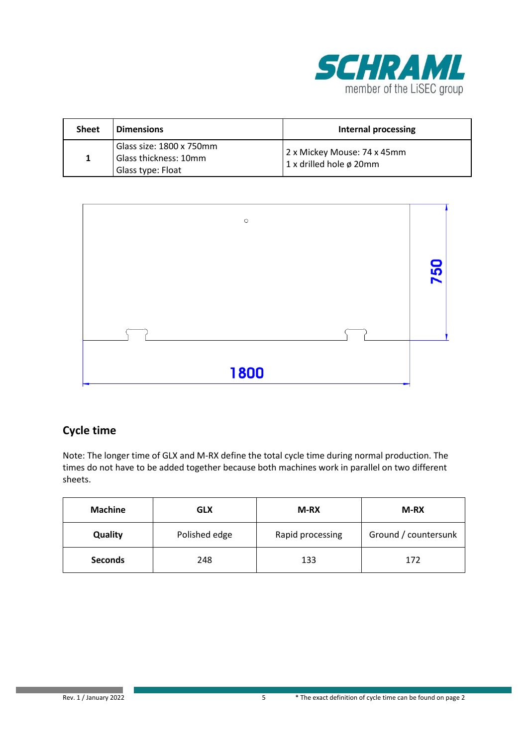

| <b>Sheet</b> | <b>Dimensions</b>                                                      | Internal processing                                         |
|--------------|------------------------------------------------------------------------|-------------------------------------------------------------|
| 1            | Glass size: 1800 x 750mm<br>Glass thickness: 10mm<br>Glass type: Float | 2 x Mickey Mouse: 74 x 45mm<br>1 x drilled hole $\phi$ 20mm |



| <b>Machine</b> | <b>GLX</b>    | M-RX             | M-RX                 |
|----------------|---------------|------------------|----------------------|
| Quality        | Polished edge | Rapid processing | Ground / countersunk |
| <b>Seconds</b> | 248           | 133              | 172                  |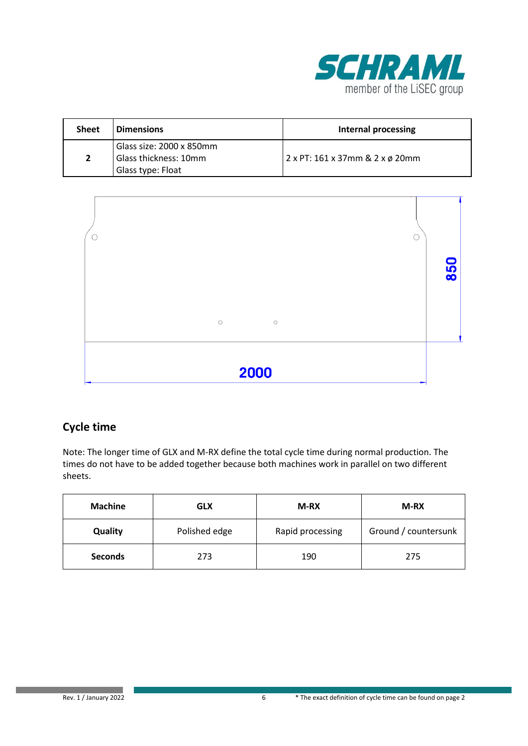

| <b>Sheet</b>   | <b>Dimensions</b>                                                      | <b>Internal processing</b>      |
|----------------|------------------------------------------------------------------------|---------------------------------|
| $\overline{2}$ | Glass size: 2000 x 850mm<br>Glass thickness: 10mm<br>Glass type: Float | 2 x PT: 161 x 37mm & 2 x ø 20mm |



| <b>Machine</b> | <b>GLX</b>    | M-RX             | <b>M-RX</b>          |
|----------------|---------------|------------------|----------------------|
| Quality        | Polished edge | Rapid processing | Ground / countersunk |
| <b>Seconds</b> | 273           | 190              | 275                  |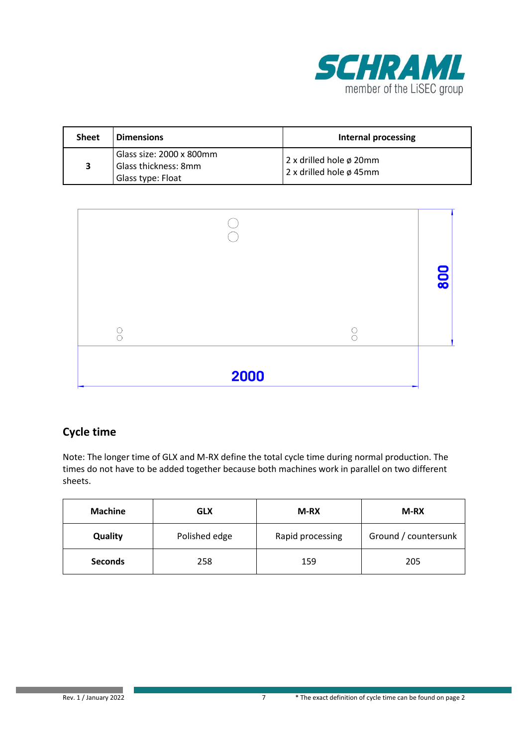

| <b>Sheet</b> | <b>Dimensions</b>                                                     | Internal processing                                |
|--------------|-----------------------------------------------------------------------|----------------------------------------------------|
| 3            | Glass size: 2000 x 800mm<br>Glass thickness: 8mm<br>Glass type: Float | 2 x drilled hole ø 20mm<br>2 x drilled hole ø 45mm |

|      | 8<br>$\overline{\bullet}$ |
|------|---------------------------|
|      |                           |
| 2000 |                           |

| <b>Machine</b> | <b>GLX</b>    | <b>M-RX</b>      | M-RX                 |
|----------------|---------------|------------------|----------------------|
| Quality        | Polished edge | Rapid processing | Ground / countersunk |
| <b>Seconds</b> | 258           | 159              | 205                  |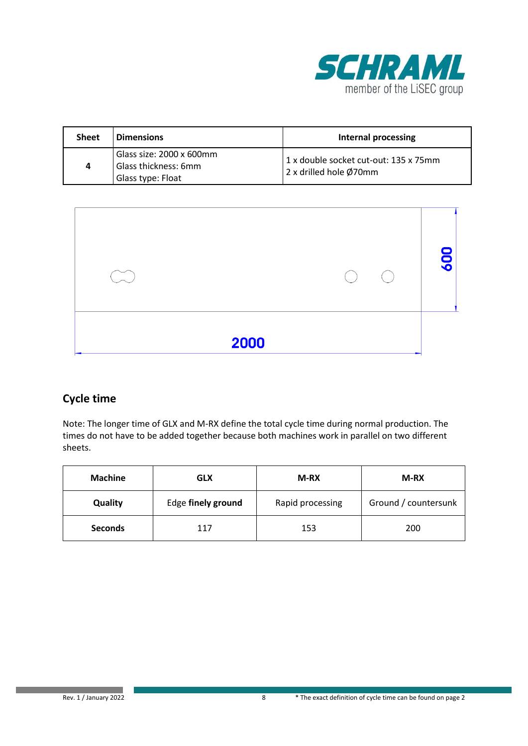

| <b>Sheet</b> | <b>Dimensions</b>                                                     | Internal processing                                             |
|--------------|-----------------------------------------------------------------------|-----------------------------------------------------------------|
| 4            | Glass size: 2000 x 600mm<br>Glass thickness: 6mm<br>Glass type: Float | 1 x double socket cut-out: 135 x 75mm<br>2 x drilled hole Ø70mm |



| <b>Machine</b> | GLX                | M-RX             | <b>M-RX</b>          |
|----------------|--------------------|------------------|----------------------|
| Quality        | Edge finely ground | Rapid processing | Ground / countersunk |
| <b>Seconds</b> | 117                | 153              | 200                  |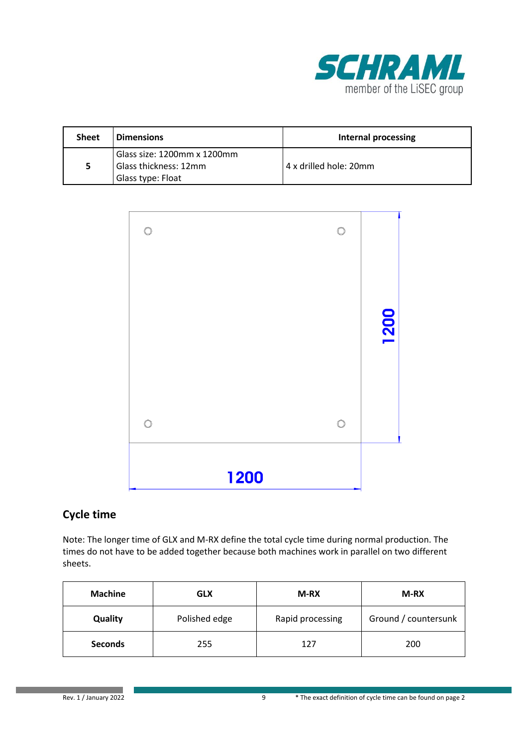

| <b>Sheet</b> | <b>Dimensions</b>                                                         | Internal processing    |
|--------------|---------------------------------------------------------------------------|------------------------|
| 5            | Glass size: 1200mm x 1200mm<br>Glass thickness: 12mm<br>Glass type: Float | 4 x drilled hole: 20mm |



| <b>Machine</b> | <b>GLX</b>    | M-RX             | M-RX                 |
|----------------|---------------|------------------|----------------------|
| Quality        | Polished edge | Rapid processing | Ground / countersunk |
| <b>Seconds</b> | 255           | 127              | 200                  |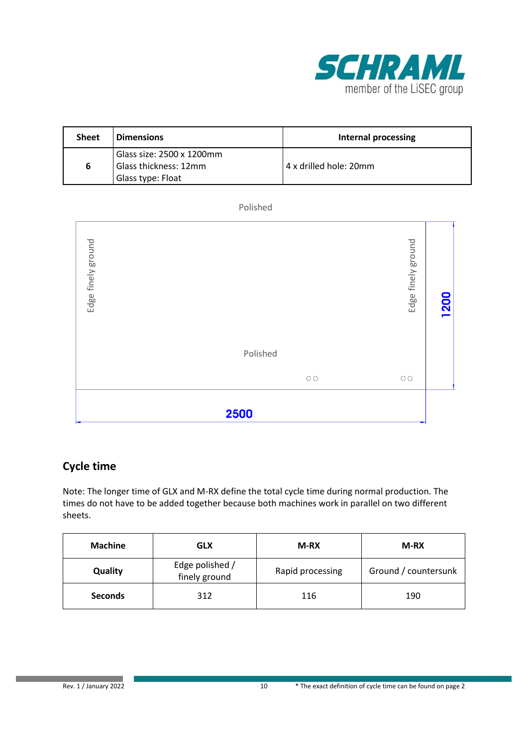

| <b>Sheet</b> | <b>Dimensions</b>                                                       | Internal processing    |
|--------------|-------------------------------------------------------------------------|------------------------|
| 6            | Glass size: 2500 x 1200mm<br>Glass thickness: 12mm<br>Glass type: Float | 4 x drilled hole: 20mm |

#### Polished



## **Cycle time**

| <b>Machine</b> | <b>GLX</b>                       | M-RX             | M-RX                 |
|----------------|----------------------------------|------------------|----------------------|
| Quality        | Edge polished /<br>finely ground | Rapid processing | Ground / countersunk |
| <b>Seconds</b> | 312                              | 116              | 190                  |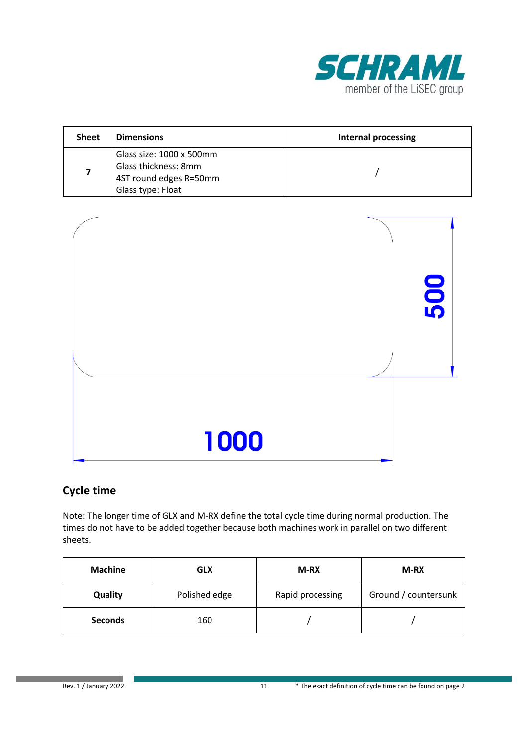

| <b>Sheet</b> | <b>Dimensions</b>                                                                               | <b>Internal processing</b> |
|--------------|-------------------------------------------------------------------------------------------------|----------------------------|
| 7            | Glass size: 1000 x 500mm<br>Glass thickness: 8mm<br>4ST round edges R=50mm<br>Glass type: Float |                            |



| <b>Machine</b> | <b>GLX</b>    | M-RX             | M-RX                 |
|----------------|---------------|------------------|----------------------|
| Quality        | Polished edge | Rapid processing | Ground / countersunk |
| <b>Seconds</b> | 160           |                  |                      |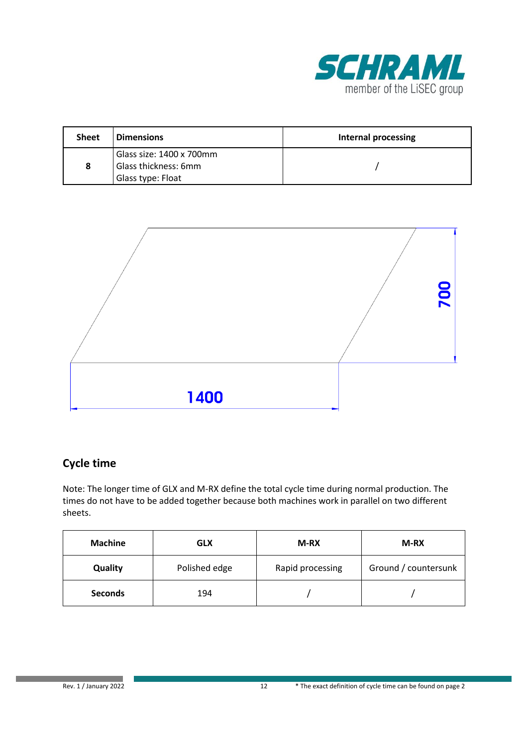

| <b>Sheet</b> | <b>Dimensions</b>        | Internal processing |
|--------------|--------------------------|---------------------|
|              | Glass size: 1400 x 700mm |                     |
| 8            | Glass thickness: 6mm     |                     |
|              | Glass type: Float        |                     |



| <b>Machine</b> | <b>GLX</b>    | M-RX             | M-RX                 |
|----------------|---------------|------------------|----------------------|
| Quality        | Polished edge | Rapid processing | Ground / countersunk |
| <b>Seconds</b> | 194           |                  |                      |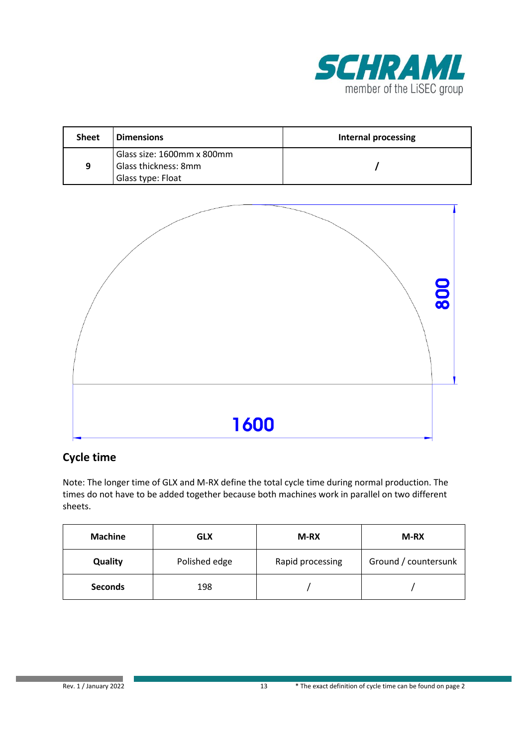

| <b>Sheet</b> | <b>Dimensions</b>          | Internal processing |
|--------------|----------------------------|---------------------|
|              | Glass size: 1600mm x 800mm |                     |
| 9            | Glass thickness: 8mm       |                     |
|              | Glass type: Float          |                     |



| <b>Machine</b> | <b>GLX</b>    | M-RX             | M-RX                 |
|----------------|---------------|------------------|----------------------|
| Quality        | Polished edge | Rapid processing | Ground / countersunk |
| <b>Seconds</b> | 198           |                  |                      |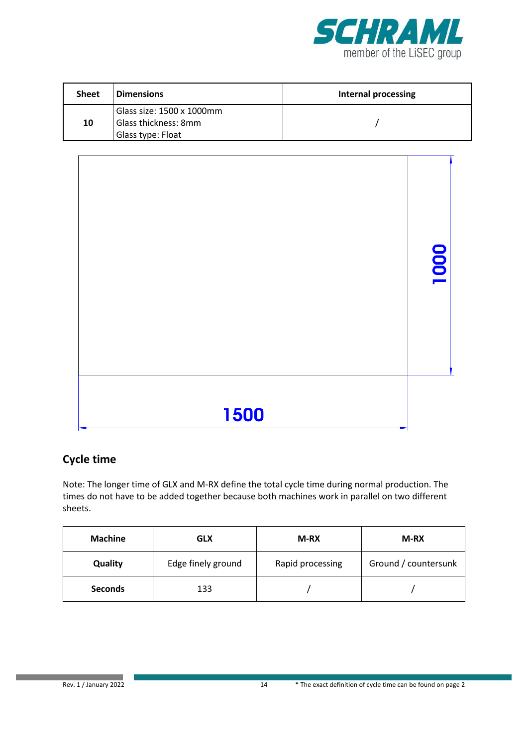

| <b>Sheet</b> | <b>Dimensions</b>         | Internal processing |
|--------------|---------------------------|---------------------|
|              | Glass size: 1500 x 1000mm |                     |
| 10           | Glass thickness: 8mm      |                     |
|              | Glass type: Float         |                     |



| <b>Machine</b> | <b>GLX</b>         | M-RX             | M-RX                 |
|----------------|--------------------|------------------|----------------------|
| Quality        | Edge finely ground | Rapid processing | Ground / countersunk |
| <b>Seconds</b> | 133                |                  |                      |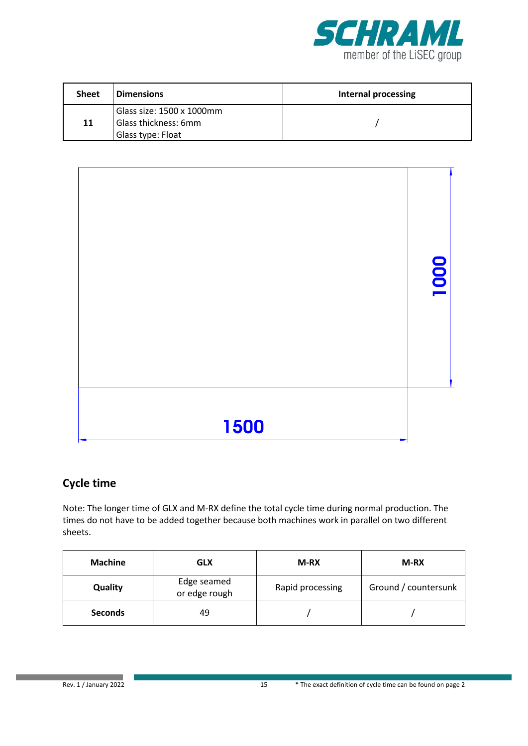

| <b>Sheet</b> | <b>Dimensions</b>         | Internal processing |
|--------------|---------------------------|---------------------|
|              | Glass size: 1500 x 1000mm |                     |
| 11           | Glass thickness: 6mm      |                     |
|              | Glass type: Float         |                     |



| <b>Machine</b> | <b>GLX</b>                   | M-RX             | M-RX                 |
|----------------|------------------------------|------------------|----------------------|
| Quality        | Edge seamed<br>or edge rough | Rapid processing | Ground / countersunk |
| <b>Seconds</b> | 49                           |                  |                      |